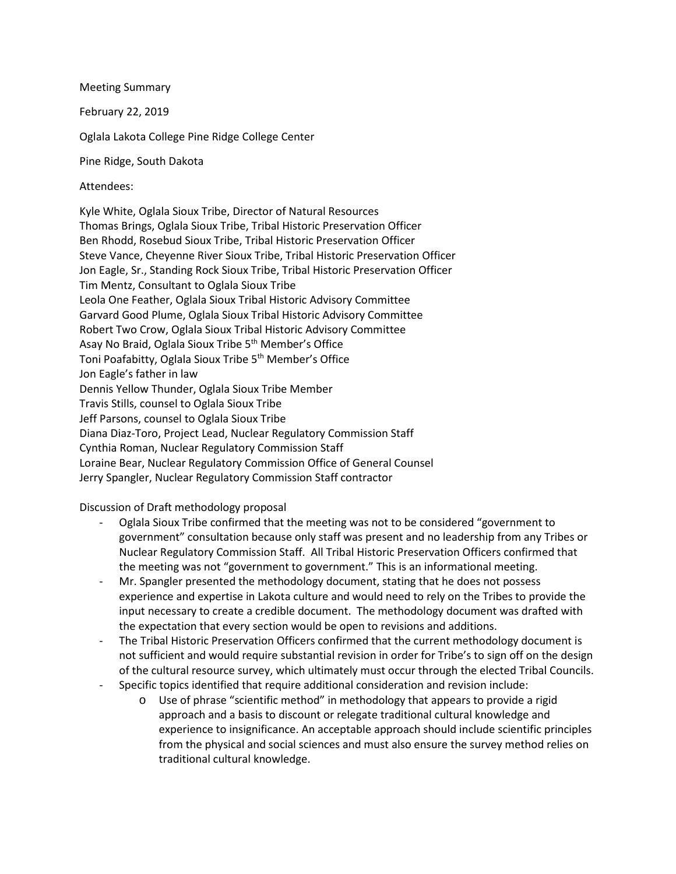Meeting Summary February 22, 2019 Oglala Lakota College Pine Ridge College Center Pine Ridge, South Dakota

Attendees:

Kyle White, Oglala Sioux Tribe, Director of Natural Resources Thomas Brings, Oglala Sioux Tribe, Tribal Historic Preservation Officer Ben Rhodd, Rosebud Sioux Tribe, Tribal Historic Preservation Officer Steve Vance, Cheyenne River Sioux Tribe, Tribal Historic Preservation Officer Jon Eagle, Sr., Standing Rock Sioux Tribe, Tribal Historic Preservation Officer Tim Mentz, Consultant to Oglala Sioux Tribe Leola One Feather, Oglala Sioux Tribal Historic Advisory Committee Garvard Good Plume, Oglala Sioux Tribal Historic Advisory Committee Robert Two Crow, Oglala Sioux Tribal Historic Advisory Committee Asay No Braid, Oglala Sioux Tribe 5<sup>th</sup> Member's Office Toni Poafabitty, Oglala Sioux Tribe 5<sup>th</sup> Member's Office Jon Eagle's father in law Dennis Yellow Thunder, Oglala Sioux Tribe Member Travis Stills, counsel to Oglala Sioux Tribe Jeff Parsons, counsel to Oglala Sioux Tribe Diana Diaz-Toro, Project Lead, Nuclear Regulatory Commission Staff Cynthia Roman, Nuclear Regulatory Commission Staff Loraine Bear, Nuclear Regulatory Commission Office of General Counsel Jerry Spangler, Nuclear Regulatory Commission Staff contractor

Discussion of Draft methodology proposal

- Oglala Sioux Tribe confirmed that the meeting was not to be considered "government to government" consultation because only staff was present and no leadership from any Tribes or Nuclear Regulatory Commission Staff. All Tribal Historic Preservation Officers confirmed that the meeting was not "government to government." This is an informational meeting.
- Mr. Spangler presented the methodology document, stating that he does not possess experience and expertise in Lakota culture and would need to rely on the Tribes to provide the input necessary to create a credible document. The methodology document was drafted with the expectation that every section would be open to revisions and additions.
- The Tribal Historic Preservation Officers confirmed that the current methodology document is not sufficient and would require substantial revision in order for Tribe's to sign off on the design of the cultural resource survey, which ultimately must occur through the elected Tribal Councils.
- Specific topics identified that require additional consideration and revision include:
	- o Use of phrase "scientific method" in methodology that appears to provide a rigid approach and a basis to discount or relegate traditional cultural knowledge and experience to insignificance. An acceptable approach should include scientific principles from the physical and social sciences and must also ensure the survey method relies on traditional cultural knowledge.